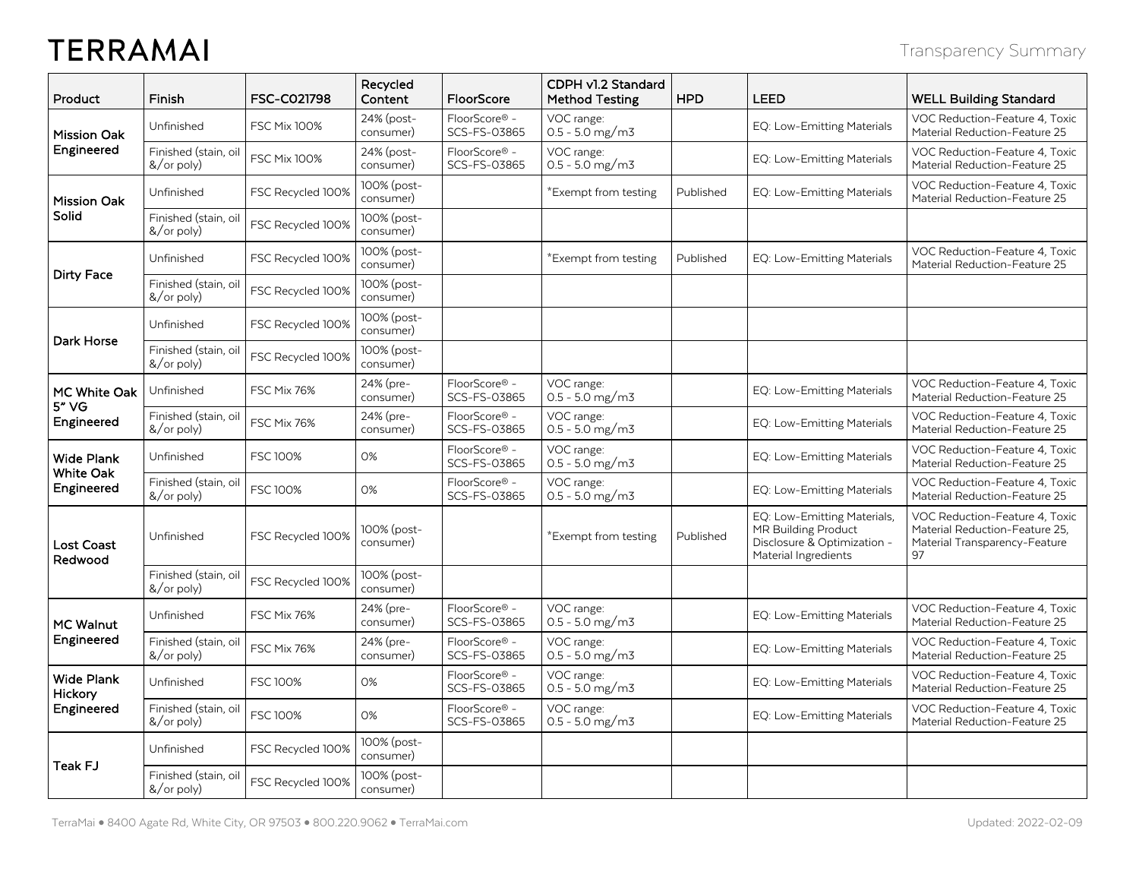## **TERRAMAI**

| Product                                             | Finish                                              | FSC-C021798         | Recycled<br>Content      | FloorScore                    | CDPH v1.2 Standard<br><b>Method Testing</b> | <b>HPD</b> | LEED                                                                                                      | <b>WELL Building Standard</b>                                                                           |
|-----------------------------------------------------|-----------------------------------------------------|---------------------|--------------------------|-------------------------------|---------------------------------------------|------------|-----------------------------------------------------------------------------------------------------------|---------------------------------------------------------------------------------------------------------|
| <b>Mission Oak</b><br>Engineered                    | Unfinished                                          | <b>FSC Mix 100%</b> | 24% (post-<br>consumer)  | FloorScore® -<br>SCS-FS-03865 | VOC range:<br>$0.5 - 5.0$ mg/m3             |            | EQ: Low-Emitting Materials                                                                                | VOC Reduction-Feature 4, Toxic<br>Material Reduction-Feature 25                                         |
|                                                     | Finished (stain, oil<br>$\frac{8}{\sigma}$ or poly) | <b>FSC Mix 100%</b> | 24% (post-<br>consumer)  | FloorScore® -<br>SCS-FS-03865 | VOC range:<br>$0.5 - 5.0$ mg/m3             |            | EQ: Low-Emitting Materials                                                                                | VOC Reduction-Feature 4, Toxic<br>Material Reduction-Feature 25                                         |
| <b>Mission Oak</b><br>Solid                         | Unfinished                                          | FSC Recycled 100%   | 100% (post-<br>consumer) |                               | *Exempt from testing                        | Published  | EQ: Low-Emitting Materials                                                                                | VOC Reduction-Feature 4, Toxic<br>Material Reduction-Feature 25                                         |
|                                                     | Finished (stain, oil<br>&/or poly)                  | FSC Recycled 100%   | 100% (post-<br>consumer) |                               |                                             |            |                                                                                                           |                                                                                                         |
| <b>Dirty Face</b>                                   | Unfinished                                          | FSC Recycled 100%   | 100% (post-<br>consumer) |                               | *Exempt from testing                        | Published  | EQ: Low-Emitting Materials                                                                                | VOC Reduction-Feature 4, Toxic<br>Material Reduction-Feature 25                                         |
|                                                     | Finished (stain, oil<br>&/or poly)                  | FSC Recycled 100%   | 100% (post-<br>consumer) |                               |                                             |            |                                                                                                           |                                                                                                         |
| Dark Horse                                          | Unfinished                                          | FSC Recycled 100%   | 100% (post-<br>consumer) |                               |                                             |            |                                                                                                           |                                                                                                         |
|                                                     | Finished (stain, oil<br>$\frac{8}{\sigma}$ or poly) | FSC Recycled 100%   | 100% (post-<br>consumer) |                               |                                             |            |                                                                                                           |                                                                                                         |
| MC White Oak<br>5" VG<br>Engineered                 | Unfinished                                          | <b>FSC Mix 76%</b>  | 24% (pre-<br>consumer)   | FloorScore® -<br>SCS-FS-03865 | VOC range:<br>$0.5 - 5.0$ mg/m3             |            | EQ: Low-Emitting Materials                                                                                | VOC Reduction-Feature 4, Toxic<br>Material Reduction-Feature 25                                         |
|                                                     | Finished (stain, oil<br>&/or poly)                  | <b>FSC Mix 76%</b>  | 24% (pre-<br>consumer)   | FloorScore® -<br>SCS-FS-03865 | VOC range:<br>$0.5 - 5.0$ mg/m3             |            | EQ: Low-Emitting Materials                                                                                | VOC Reduction-Feature 4, Toxic<br>Material Reduction-Feature 25                                         |
| <b>Wide Plank</b><br><b>White Oak</b><br>Engineered | Unfinished                                          | <b>FSC 100%</b>     | 0%                       | FloorScore® -<br>SCS-FS-03865 | VOC range:<br>$0.5 - 5.0$ mg/m3             |            | EQ: Low-Emitting Materials                                                                                | VOC Reduction-Feature 4, Toxic<br>Material Reduction-Feature 25                                         |
|                                                     | Finished (stain, oil<br>&/or poly)                  | <b>FSC 100%</b>     | $O\%$                    | FloorScore® -<br>SCS-FS-03865 | VOC range:<br>$0.5 - 5.0$ mg/m3             |            | EQ: Low-Emitting Materials                                                                                | VOC Reduction-Feature 4, Toxic<br>Material Reduction-Feature 25                                         |
| <b>Lost Coast</b><br>Redwood                        | Unfinished                                          | FSC Recycled 100%   | 100% (post-<br>consumer) |                               | *Exempt from testing                        | Published  | EQ: Low-Emitting Materials,<br>MR Building Product<br>Disclosure & Optimization -<br>Material Ingredients | VOC Reduction-Feature 4, Toxic<br>Material Reduction-Feature 25,<br>Material Transparency-Feature<br>97 |
|                                                     | Finished (stain, oil<br>$\frac{8}{\sigma}$ or poly) | FSC Recycled 100%   | 100% (post-<br>consumer) |                               |                                             |            |                                                                                                           |                                                                                                         |
| <b>MC Walnut</b><br>Engineered                      | Unfinished                                          | <b>FSC Mix 76%</b>  | 24% (pre-<br>consumer)   | FloorScore® -<br>SCS-FS-03865 | VOC range:<br>$0.5 - 5.0$ mg/m3             |            | EQ: Low-Emitting Materials                                                                                | VOC Reduction-Feature 4. Toxic<br>Material Reduction-Feature 25                                         |
|                                                     | Finished (stain, oil<br>&/or poly)                  | <b>FSC Mix 76%</b>  | 24% (pre-<br>consumer)   | FloorScore® -<br>SCS-FS-03865 | VOC range:<br>$0.5 - 5.0$ mg/m3             |            | EQ: Low-Emitting Materials                                                                                | VOC Reduction-Feature 4, Toxic<br>Material Reduction-Feature 25                                         |
| <b>Wide Plank</b><br>Hickory<br>Engineered          | Unfinished                                          | <b>FSC 100%</b>     | 0%                       | FloorScore® -<br>SCS-FS-03865 | VOC range:<br>$0.5 - 5.0$ mg/m3             |            | EQ: Low-Emitting Materials                                                                                | VOC Reduction-Feature 4, Toxic<br>Material Reduction-Feature 25                                         |
|                                                     | Finished (stain, oil<br>&/or poly)                  | FSC 100%            | 0%                       | FloorScore® -<br>SCS-FS-03865 | VOC range:<br>$0.5 - 5.0$ mg/m3             |            | EQ: Low-Emitting Materials                                                                                | VOC Reduction-Feature 4, Toxic<br>Material Reduction-Feature 25                                         |
| <b>Teak FJ</b>                                      | Unfinished                                          | FSC Recycled 100%   | 100% (post-<br>consumer) |                               |                                             |            |                                                                                                           |                                                                                                         |
|                                                     | Finished (stain, oil<br>$\frac{8}{\sigma}$ or poly) | FSC Recycled 100%   | 100% (post-<br>consumer) |                               |                                             |            |                                                                                                           |                                                                                                         |